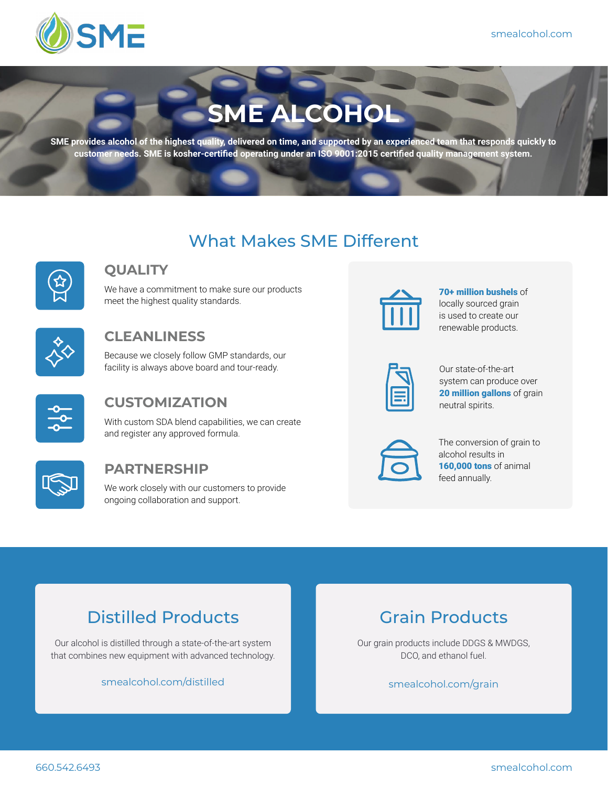

# **SME ALCOHOL**

**SME provides alcohol of the highest quality, delivered on time, and supported by an experienced team that responds quickly to customer needs. SME is kosher-certified operating under an ISO 9001:2015 certified quality management system.**

# What Makes SME Different



### **QUALITY**

We have a commitment to make sure our products meet the highest quality standards.



### **CLEANLINESS**

Because we closely follow GMP standards, our facility is always above board and tour-ready.



### **CUSTOMIZATION**

With custom SDA blend capabilities, we can create and register any approved formula.



#### **PARTNERSHIP**

We work closely with our customers to provide ongoing collaboration and support.



70+ million bushels of locally sourced grain is used to create our renewable products.

Our state-of-the-art system can produce over 20 million gallons of grain neutral spirits.



The conversion of grain to alcohol results in 160.000 tons of animal feed annually.

# Distilled Products

Our alcohol is distilled through a state-of-the-art system that combines new equipment with advanced technology.

smealcohol.com/distilled



Our grain products include DDGS & MWDGS, DCO, and ethanol fuel.

#### smealcohol.com/grain